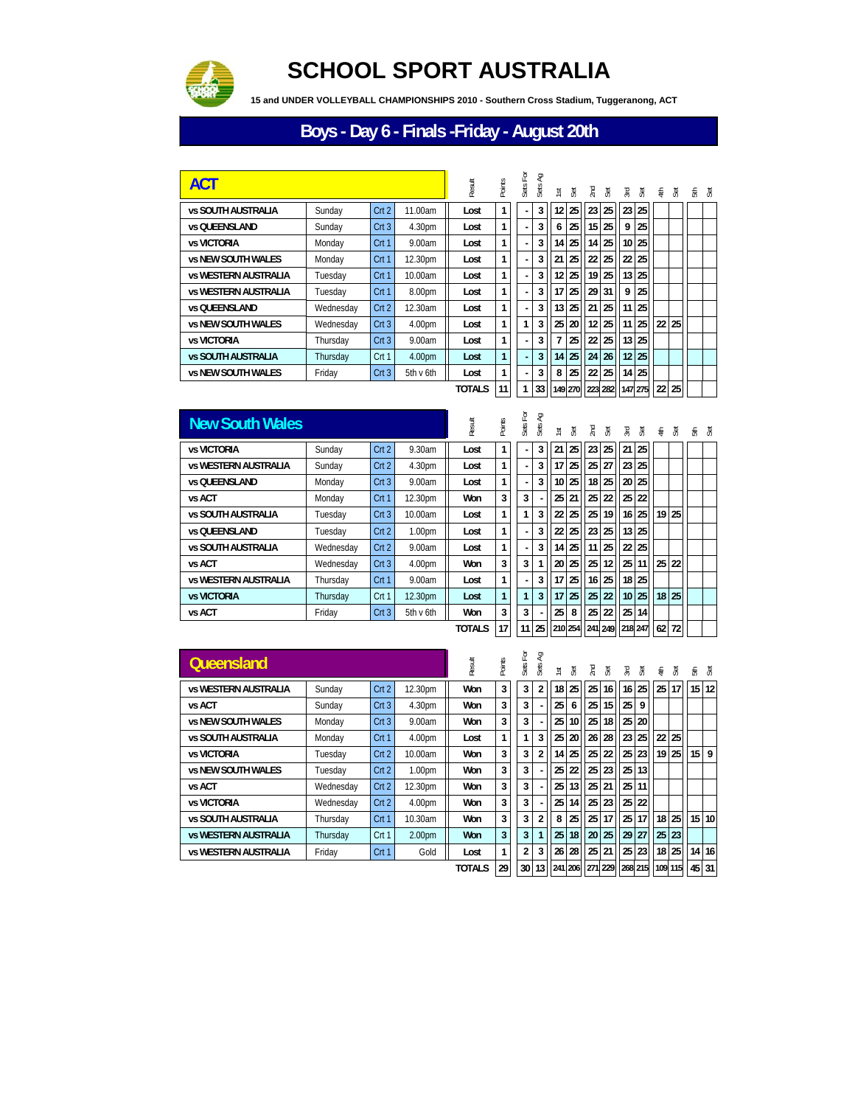

## **SCHOOL SPORT AUSTRALIA**

 **15 and UNDER VOLLEYBALL CHAMPIONSHIPS 2010 - Southern Cross Stadium, Tuggeranong, ACT**

## **Boys - Day 6 - Finals -Friday - August 20th**

| <b>ACT</b>                  |           |      |           |               | Points | 뎐<br>Sets I | Sб<br>Sets | ist              | Эđ | ΣĒ. | Эă | ЪÆ              | Set                        | €  | Set     | 동 쟁 |  |
|-----------------------------|-----------|------|-----------|---------------|--------|-------------|------------|------------------|----|-----|----|-----------------|----------------------------|----|---------|-----|--|
| <b>vs SOUTH AUSTRALIA</b>   | Sunday    | Crt2 | 11.00am   | Lost          | 1      |             | 3          | 12 <sup>12</sup> | 25 | 23  | 25 | 23              | 25                         |    |         |     |  |
| <b>vs OUEENSLAND</b>        | Sunday    | Crt3 | 4.30pm    | Lost          | 1      | ٠           | 3          | 6                | 25 | 15  | 25 | 9               | 25                         |    |         |     |  |
| <b>vs VICTORIA</b>          | Monday    | Crt1 | 9.00am    | Lost          | 1      | L.          | 3          | 14               | 25 | 14  | 25 |                 | 10 25                      |    |         |     |  |
| <b>vs NEW SOUTH WALES</b>   | Monday    | Crt1 | 12.30pm   | Lost          |        | ٠           | 3          | 21               | 25 | 22  | 25 | 22              | 25                         |    |         |     |  |
| <b>vs WESTERN AUSTRALIA</b> | Tuesday   | Crt1 | 10.00am   | Lost          | 1      | ٠           | 3          | 12 <sup>1</sup>  | 25 | 19  | 25 | 13 <sup>1</sup> | 25                         |    |         |     |  |
| <b>vs WESTERN AUSTRALIA</b> | Tuesday   | Crt1 | 8.00pm    | Lost          | 1      |             | 3          | 17               | 25 | 29  | 31 | 9               | 25                         |    |         |     |  |
| <b>vs OUEENSLAND</b>        | Wednesday | Crt2 | 12.30am   | Lost          | 1      | ٠           | 3          | 13 <sup>1</sup>  | 25 | 21  | 25 | 11              | 25                         |    |         |     |  |
| <b>vs NEW SOUTH WALES</b>   | Wednesday | Crt3 | 4.00pm    | Lost          |        | 1           | 3          | 25 <sup>1</sup>  | 20 | 12  | 25 | 11              | 25                         | 22 | 25      |     |  |
| <b>vs VICTORIA</b>          | Thursday  | Crt3 | 9.00am    | Lost          | 1      | ٠           | 3          |                  | 25 | 22  | 25 |                 | 13 25                      |    |         |     |  |
| <b>vs SOUTH AUSTRALIA</b>   | Thursday  | Crt1 | 4.00pm    | Lost          |        | ä,          | 3          | 14               | 25 | 24  | 26 |                 | 12 25                      |    |         |     |  |
| <b>vs NEW SOUTH WALES</b>   | Friday    | Crt3 | 5th v 6th | Lost          | 1      | ٠           | 3          | 8                | 25 | 22  | 25 |                 | 14 25                      |    |         |     |  |
|                             |           |      |           | <b>TOTALS</b> | 11     | 1           |            |                  |    |     |    |                 | 33 149 270 223 282 147 275 |    | $22$ 25 |     |  |

| <b>New South Wales</b>      |           |                  |           | Result        | <b>Points</b> | Sets For | ΡĄ<br>Sets. | $\overline{\mathbf{s}}$ | č  | 2nd | ਼ੱਲ੍ਹੇ | Σď,                                 | Set   |    | $\equiv$ $\frac{5}{2}$ | fa s |  |
|-----------------------------|-----------|------------------|-----------|---------------|---------------|----------|-------------|-------------------------|----|-----|--------|-------------------------------------|-------|----|------------------------|------|--|
| <b>vs VICTORIA</b>          | Sunday    | Crt2             | 9.30am    | Lost          | 1             |          | 3           | 21                      | 25 | 23  | 25     | 21                                  | 25    |    |                        |      |  |
| <b>vs WESTERN AUSTRALIA</b> | Sunday    | Crt2             | 4.30pm    | Lost          | 1             |          | 3           | 17                      | 25 | 25  | 27     | 23 <sup>1</sup>                     | 25    |    |                        |      |  |
| <b>vs OUEENSLAND</b>        | Monday    | Crt3             | 9.00am    | Lost          | 1             |          | 3           | 10 <sup>1</sup>         | 25 | 18  | 25     |                                     | 20 25 |    |                        |      |  |
| vs ACT                      | Monday    | Crt <sub>1</sub> | 12.30pm   | Won           | 3             | 3        |             | 25                      | 21 | 25  | 22     | 25 <sub>1</sub>                     | 22    |    |                        |      |  |
| <b>vs SOUTH AUSTRALIA</b>   | Tuesdav   | Crt3             | 10.00am   | Lost          | 1             | 1        |             | 22                      | 25 | 25  | 19     | 16 <sup>1</sup>                     | 25    |    | $19$   25              |      |  |
| <b>vs OUEENSLAND</b>        | Tuesdav   | Crt2             | 1.00pm    | Lost          | 1             |          |             | 22                      | 25 | 23  | 25     | 13                                  | 25    |    |                        |      |  |
| <b>vs SOUTH AUSTRALIA</b>   | Wednesday | Crt2             | 9.00am    | Lost          | $\mathbf{1}$  |          |             | 14 <sup>1</sup>         | 25 | 11  | 25     |                                     | 22 25 |    |                        |      |  |
| vs ACT                      | Wednesday | Crt3             | 4.00pm    | Won           | 3             | 3        |             | 20                      | 25 | 25  | 12     | 25 <sub>1</sub>                     | 11    | 25 | 22                     |      |  |
| <b>vs WESTERN AUSTRALIA</b> | Thursday  | Crt <sub>1</sub> | 9.00am    | Lost          | 1             |          | 3           | 17                      | 25 | 16  | 25     |                                     | 18 25 |    |                        |      |  |
| <b>vs VICTORIA</b>          | Thursday  | Crt <sub>1</sub> | 12.30pm   | Lost          |               | 1        | 3           | 17 <sup>1</sup>         | 25 | 25  | 22     | 10 <sup>1</sup>                     | 25    |    | $18$   25              |      |  |
| vs ACT                      | Friday    | Crt3             | 5th v 6th | Won           | 3             | 3        |             | 25                      | 8  | 25  | 22     | 25 <sup>1</sup>                     | 14    |    |                        |      |  |
|                             |           |                  |           | <b>TOTALS</b> | 17            |          |             |                         |    |     |        | 11 25 210 254 241 249 218 247 62 72 |       |    |                        |      |  |

| Queensland                  |           |      |                    | Result        | <b>Points</b> | For<br>Sets     | Ę<br>Sets      | <b>isl</b>      | Æ               | Ξ  | ्रह | Σď, | अ  | €               | ्रह             |                                       | 点 原             |
|-----------------------------|-----------|------|--------------------|---------------|---------------|-----------------|----------------|-----------------|-----------------|----|-----|-----|----|-----------------|-----------------|---------------------------------------|-----------------|
| <b>vs WESTERN AUSTRALIA</b> | Sunday    | Crt2 | 12.30pm            | Won           | 3             | 3               | $\overline{2}$ | 18 <sup>1</sup> | 25              | 25 | 16  | 16  | 25 | 25 <sup>1</sup> | 17 <sup>1</sup> | 15                                    | 12              |
| vs ACT                      | Sunday    | Crt3 | 4.30pm             | Won           | 3             | 3               |                | 25 <sub>1</sub> | 6               | 25 | 15  | 25  | 9  |                 |                 |                                       |                 |
| <b>vs NEW SOUTH WALES</b>   | Monday    | Crt3 | 9.00am             | Won           | 3             | 3               |                | 25 <sub>1</sub> | 10              | 25 | 18  | 25  | 20 |                 |                 |                                       |                 |
| <b>vs SOUTH AUSTRALIA</b>   | Monday    | Crt1 | 4.00pm             | Lost          | 1             | 1               | 3              | 25              | 20              | 26 | 28  | 23  | 25 | 22              | 25 <sub>1</sub> |                                       |                 |
| <b>vs VICTORIA</b>          | Tuesday   | Crt2 | 10.00am            | Won           | 3             | 3               | $\overline{2}$ | 14              | 25              | 25 | 22  | 25  | 23 |                 | $19$   25       | 15                                    | 9               |
| <b>vs NEW SOUTH WALES</b>   | Tuesdav   | Crt2 | 1.00 <sub>pm</sub> | Won           | 3             | 3               |                | 25 <sub>1</sub> | 22              | 25 | 23  | 25  | 13 |                 |                 |                                       |                 |
| vs ACT                      | Wednesday | Crt2 | 12.30pm            | Won           | 3             | 3               |                | 25 <sub>1</sub> | 13 <sub>1</sub> | 25 | 21  | 25  | 11 |                 |                 |                                       |                 |
| <b>vs VICTORIA</b>          | Wednesday | Crt2 | 4.00pm             | Won           | 3             | 3               |                | 25              | 14              | 25 | 23  | 25  | 22 |                 |                 |                                       |                 |
| <b>vs SOUTH AUSTRALIA</b>   | Thursday  | Crt1 | 10.30am            | Won           | 3             | 3               | $\overline{2}$ | 8               | 25              | 25 | 17  | 25  | 17 | 18 <sup>1</sup> | 25 <sup>1</sup> | 15 <sup>1</sup>                       | 10 <sup>1</sup> |
| <b>vs WESTERN AUSTRALIA</b> | Thursday  | Crt1 | 2.00pm             | <b>Won</b>    | 3             | 3               | 1              | 25              | 18              | 20 | 25  | 29  | 27 |                 | 25 23           |                                       |                 |
| <b>vs WESTERN AUSTRALIA</b> | Friday    | Crt1 | Gold               | Lost          | 1             | $\overline{2}$  | 3              | 26              | 28              | 25 | 21  | 25  | 23 |                 | 18 25           | 14                                    | 16              |
|                             |           |      |                    | <b>TOTALS</b> | 29            | 30 <sup>1</sup> | 13             |                 |                 |    |     |     |    |                 |                 | 241 206 271 229 268 215 109 115 45 31 |                 |